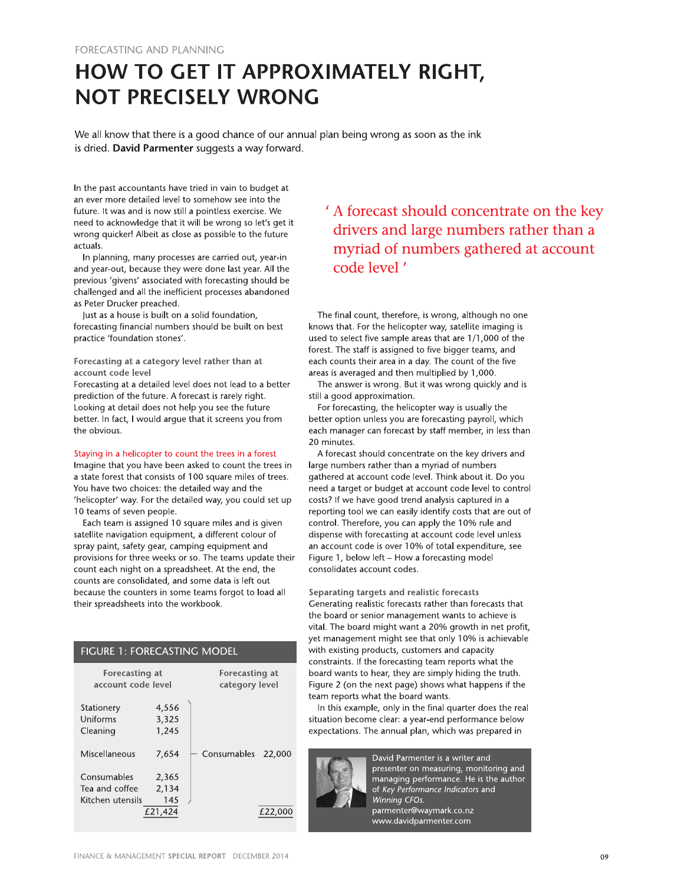# HOW TO GET IT APPROXIMATELY RIGHT, **NOT PRECISELY WRONG**

We all know that there is a good chance of our annual plan being wrong as soon as the ink is dried. David Parmenter suggests a way forward.

In the past accountants have tried in vain to budget at an ever more detailed level to somehow see into the future. It was and is now still a pointless exercise. We need to acknowledge that it will be wrong so let's get it wrong quicker! Albeit as close as possible to the future actuals.

In planning, many processes are carried out, year-in and year-out, because they were done last year. All the previous 'givens' associated with forecasting should be challenged and all the inefficient processes abandoned as Peter Drucker preached.

Just as a house is built on a solid foundation, forecasting financial numbers should be built on best practice 'foundation stones'.

Forecasting at a category level rather than at account code level

Forecasting at a detailed level does not lead to a better prediction of the future. A forecast is rarely right. Looking at detail does not help you see the future better. In fact, I would arque that it screens you from the obvious.

#### Staying in a helicopter to count the trees in a forest

Imagine that you have been asked to count the trees in a state forest that consists of 100 square miles of trees. You have two choices: the detailed way and the 'helicopter' way. For the detailed way, you could set up 10 teams of seven people.

Each team is assigned 10 square miles and is given satellite navigation equipment, a different colour of spray paint, safety gear, camping equipment and provisions for three weeks or so. The teams update their count each night on a spreadsheet. At the end, the counts are consolidated, and some data is left out because the counters in some teams forgot to load all their spreadsheets into the workbook.

#### FIGURE 1: FORECASTING MODEL

| Forecasting at<br>account code level              |                                  | Forecasting at<br>category level |        |  |  |  |
|---------------------------------------------------|----------------------------------|----------------------------------|--------|--|--|--|
| Stationery<br>Uniforms<br>Cleaning                | 4,556<br>3,325<br>1,245          |                                  |        |  |  |  |
| Miscellaneous                                     | 7,654                            | Consumables                      | 22.000 |  |  |  |
| Consumables<br>Tea and coffee<br>Kitchen utensils | 2,365<br>2,134<br>145<br>£21,424 |                                  | £22.00 |  |  |  |

## ' A forecast should concentrate on the key drivers and large numbers rather than a myriad of numbers gathered at account code level '

The final count, therefore, is wrong, although no one knows that. For the helicopter way, satellite imaging is used to select five sample areas that are 1/1,000 of the forest. The staff is assigned to five bigger teams, and each counts their area in a day. The count of the five areas is averaged and then multiplied by 1,000.

The answer is wrong. But it was wrong quickly and is still a good approximation.

For forecasting, the helicopter way is usually the better option unless you are forecasting payroll, which each manager can forecast by staff member, in less than 20 minutes.

A forecast should concentrate on the key drivers and large numbers rather than a myriad of numbers gathered at account code level. Think about it. Do you need a target or budget at account code level to control costs? If we have good trend analysis captured in a reporting tool we can easily identify costs that are out of control. Therefore, you can apply the 10% rule and dispense with forecasting at account code level unless an account code is over 10% of total expenditure, see Figure 1, below left - How a forecasting model consolidates account codes.

Separating targets and realistic forecasts Generating realistic forecasts rather than forecasts that the board or senior management wants to achieve is vital. The board might want a 20% growth in net profit, yet management might see that only 10% is achievable with existing products, customers and capacity constraints. If the forecasting team reports what the board wants to hear, they are simply hiding the truth. Figure 2 (on the next page) shows what happens if the team reports what the board wants.

In this example, only in the final quarter does the real situation become clear: a year-end performance below expectations. The annual plan, which was prepared in



David Parmenter is a writer and presenter on measuring, monitoring and  $m$ anaging performance. He is the author of Key Performance Indicators and Winning CFOs. parmenter@waymark.co.nz www.davidparmenter.com

FINANCE & MANAGEMENT SPECIAL REPORT DECEMBER 2014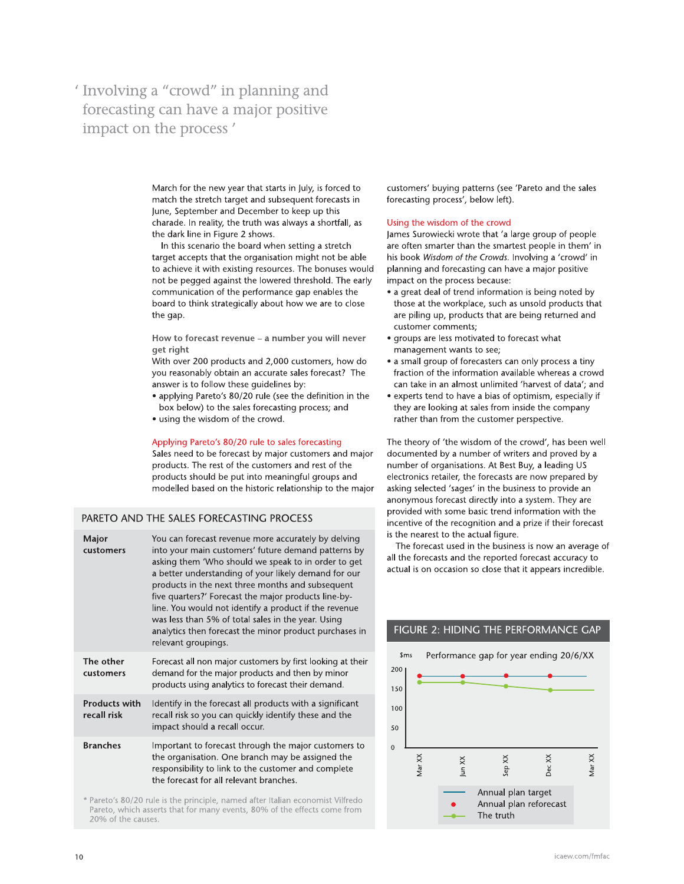## $'$  Involving a "crowd" in planning and forecasting can have a major positive impact on the process'

March for the new year that starts in July, is forced to match the stretch target and subsequent forecasts in  $\overline{\phantom{a}}$ June, September and December to keep up this charade. In reality, the truth was always a shortfall, as the dark line in Figure 2 shows.

in this scenario the board when setting a stretch target accepts that the organisation might not be able ( to achieve it with existing resources. The bonuses would not be pegged against the lowered threshold. The early l communication of the performance gap enables the board to think strategically about how we are to close tne gap.

How to forecast revenue - a number you will never get right

with over 200 products and 2,000 customers, now do  $\overline{\phantom{a}}$ you reasonably obtain an accurate sales forecast? The answer is to follow these guidelines by:

- $\bullet$  applying Pareto's 80/20 rule (see the definition in the box below) to the sales forecasting process; and
- using the wisdom of the crowd.

### Applying Pareto's 80/20 rule to sales forecasting

Sales heed to be forecast by major customers and major products. The rest of the customers and rest of the  $\overline{\phantom{a}}$ products should be put into meaningful groups and modelled based on the historic relationship to the major

#### PARETO AND THE SALES FORECASTING PROCESS

| Major<br>customers                  | You can forecast revenue more accurately by delving<br>into your main customers' future demand patterns by<br>asking them 'Who should we speak to in order to get<br>a better understanding of your likely demand for our<br>products in the next three months and subsequent<br>five quarters?' Forecast the major products line-by-<br>line. You would not identify a product if the revenue<br>was less than 5% of total sales in the year. Using<br>analytics then forecast the minor product purchases in<br>relevant groupings. |
|-------------------------------------|---------------------------------------------------------------------------------------------------------------------------------------------------------------------------------------------------------------------------------------------------------------------------------------------------------------------------------------------------------------------------------------------------------------------------------------------------------------------------------------------------------------------------------------|
| The other<br>customers              | Forecast all non major customers by first looking at their<br>demand for the major products and then by minor<br>products using analytics to forecast their demand.                                                                                                                                                                                                                                                                                                                                                                   |
| <b>Products with</b><br>recall risk | Identify in the forecast all products with a significant<br>recall risk so you can quickly identify these and the<br>impact should a recall occur.                                                                                                                                                                                                                                                                                                                                                                                    |
| <b>Branches</b>                     | Important to forecast through the major customers to<br>the organisation. One branch may be assigned the<br>responsibility to link to the customer and complete<br>the forecast for all relevant branches.                                                                                                                                                                                                                                                                                                                            |
|                                     | * Paroto's 80/20 rule is the principle named after Italian economist Vilfredo                                                                                                                                                                                                                                                                                                                                                                                                                                                         |

 $^{\circ}$  Pareto's 80/20 rule is the principle, named after Italian economist Vilfredo . Pareto, Which asserts that for many events, 80% of the effects come from<br>-20% of the causes.  $\overline{\phantom{a}}$ 

customers' buying patterns (see 'Pareto and the sales' forecasting process', below left).

Using the wisdom of the crowd<br>James Surowiecki wrote that 'a large group of people are often smarter than the smari to<br>
to<br>
to<br>
customers' buying patterns (see 'Pareto and the sales<br>
in<br>
forecasting process', below left).<br>
as<br>
Using the wisdom of the crowd<br>
lames Surowiecki wrote that 'a large group of people<br>
are often smarter than the his book Wisdom of the Crowds. Involving a 'crowd' in planning and forecasting can have a major positive impact on the process because:

- $\bullet$  a great deal of trend information is being noted by  $\hspace{0.1mm}$ those at the workplace, such as unsold products that are pliing up, products that are being returned and l customer comments;
- $\bullet$  groups are less motivated to forecast what management wants to see;
- $\bullet$  a small group of forecasters can only process a tiny  $\hspace{0.1mm}$ fraction of the information available whereas a crowd can take in an almost unlimited 'harvest of data'; and
- $\bullet$  experts tend to have a bias of optimism, especially if  $\hspace{0.1mm}$ they are looking at sales from inside the company rather than from the customer perspective.

The theory of 'the wisdom of the crowd', has been well documented by a number of writers and proved by a number of organisations. At Best Buy, a leading US i electronics retailer, the forecasts are now prepared by  $\overline{\phantom{a}}$ asking selected 'sages' in the business to provide an anonymous forecast directly into a system. They are provided with some basic trend information with the p incentive of the recognition and a prize if their forecast is the nearest to the actual figure.

The forecast used in the business is now an average of all the forecasts and the reported forecast accuracy to actual is on occasion so close that it appears incredible.



### FIGURE 2: HIDING THE PERFORMANCE GAP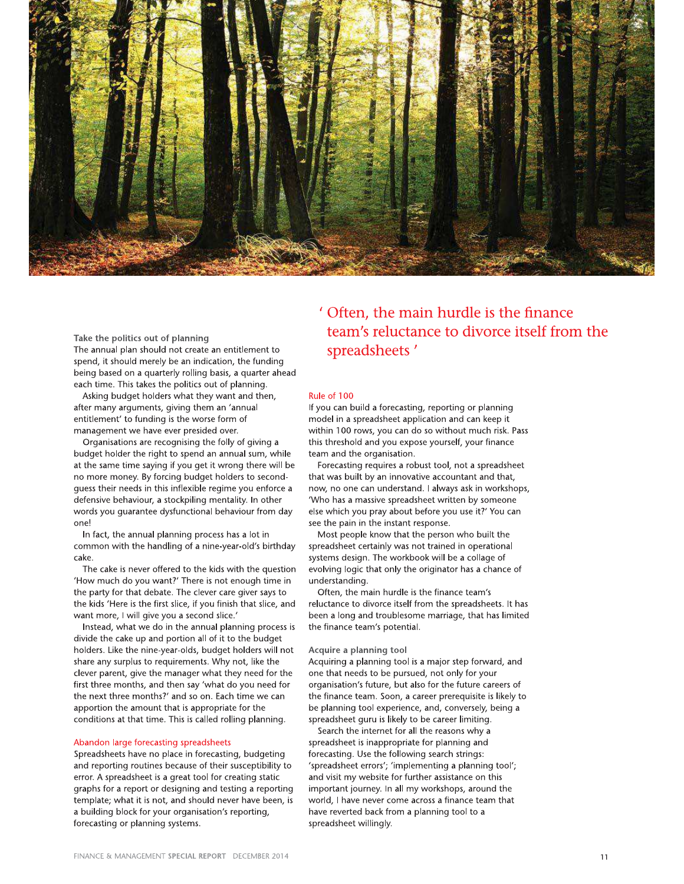

Take the politics out of planning The annual plan should not create an entitlement to spend, it should merely be an indication, the funding being based on a quarterly rolling basis, a quarter ahead each time. This takes the politics out of planning.

Asking budget holders what they want and then, after many arguments, giving them an 'annual entitlement' to funding is the worse form of management we have ever presided over.

Organisations are recognising the folly of giving a budget holder the right to spend an annual sum, while at the same time saying if you get it wrong there will be no more money. By forcing budget holders to secondguess their needs in this inflexible regime you enforce a defensive behaviour, a stockpiling mentality. In other words you quarantee dysfunctional behaviour from day one!

In fact, the annual planning process has a lot in common with the handling of a nine-year-old's birthday cake.

The cake is never offered to the kids with the question 'How much do you want?' There is not enough time in the party for that debate. The clever care giver says to the kids 'Here is the first slice, if you finish that slice, and want more, I will give you a second slice.'

Instead, what we do in the annual planning process is divide the cake up and portion all of it to the budget holders. Like the nine-year-olds, budget holders will not share any surplus to requirements. Why not, like the clever parent, give the manager what they need for the first three months, and then say 'what do you need for the next three months?' and so on. Each time we can apportion the amount that is appropriate for the conditions at that time. This is called rolling planning.

#### Abandon large forecasting spreadsheets

Spreadsheets have no place in forecasting, budgeting and reporting routines because of their susceptibility to error. A spreadsheet is a great tool for creating static graphs for a report or designing and testing a reporting template; what it is not, and should never have been, is a building block for your organisation's reporting, forecasting or planning systems.

## ' Often, the main hurdle is the finance team's reluctance to divorce itself from the spreadsheets'

#### Rule of 100

If you can build a forecasting, reporting or planning model in a spreadsheet application and can keep it within 100 rows, you can do so without much risk. Pass this threshold and you expose yourself, your finance team and the organisation.

Forecasting requires a robust tool, not a spreadsheet that was built by an innovative accountant and that, now, no one can understand. I always ask in workshops, 'Who has a massive spreadsheet written by someone else which you pray about before you use it?' You can see the pain in the instant response.

Most people know that the person who built the spreadsheet certainly was not trained in operational systems design. The workbook will be a collage of evolving logic that only the originator has a chance of understanding.

Often, the main hurdle is the finance team's reluctance to divorce itself from the spreadsheets. It has been a long and troublesome marriage, that has limited the finance team's potential.

#### Acquire a planning tool

Acquiring a planning tool is a major step forward, and one that needs to be pursued, not only for your organisation's future, but also for the future careers of the finance team. Soon, a career prerequisite is likely to be planning tool experience, and, conversely, being a spreadsheet quru is likely to be career limiting.

Search the internet for all the reasons why a spreadsheet is inappropriate for planning and forecasting. Use the following search strings: 'spreadsheet errors'; 'implementing a planning tool'; and visit my website for further assistance on this important journey. In all my workshops, around the world, I have never come across a finance team that have reverted back from a planning tool to a spreadsheet willingly.